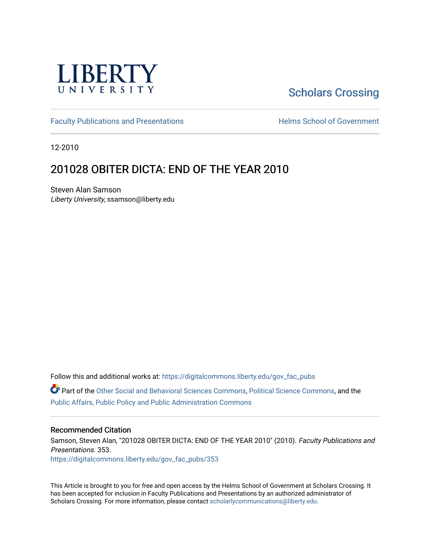

# [Scholars Crossing](https://digitalcommons.liberty.edu/)

[Faculty Publications and Presentations](https://digitalcommons.liberty.edu/gov_fac_pubs) **Exercise School of Government** 

12-2010

## 201028 OBITER DICTA: END OF THE YEAR 2010

Steven Alan Samson Liberty University, ssamson@liberty.edu

Follow this and additional works at: [https://digitalcommons.liberty.edu/gov\\_fac\\_pubs](https://digitalcommons.liberty.edu/gov_fac_pubs?utm_source=digitalcommons.liberty.edu%2Fgov_fac_pubs%2F353&utm_medium=PDF&utm_campaign=PDFCoverPages)

Part of the [Other Social and Behavioral Sciences Commons](http://network.bepress.com/hgg/discipline/437?utm_source=digitalcommons.liberty.edu%2Fgov_fac_pubs%2F353&utm_medium=PDF&utm_campaign=PDFCoverPages), [Political Science Commons](http://network.bepress.com/hgg/discipline/386?utm_source=digitalcommons.liberty.edu%2Fgov_fac_pubs%2F353&utm_medium=PDF&utm_campaign=PDFCoverPages), and the [Public Affairs, Public Policy and Public Administration Commons](http://network.bepress.com/hgg/discipline/393?utm_source=digitalcommons.liberty.edu%2Fgov_fac_pubs%2F353&utm_medium=PDF&utm_campaign=PDFCoverPages)

#### Recommended Citation

Samson, Steven Alan, "201028 OBITER DICTA: END OF THE YEAR 2010" (2010). Faculty Publications and Presentations. 353.

[https://digitalcommons.liberty.edu/gov\\_fac\\_pubs/353](https://digitalcommons.liberty.edu/gov_fac_pubs/353?utm_source=digitalcommons.liberty.edu%2Fgov_fac_pubs%2F353&utm_medium=PDF&utm_campaign=PDFCoverPages)

This Article is brought to you for free and open access by the Helms School of Government at Scholars Crossing. It has been accepted for inclusion in Faculty Publications and Presentations by an authorized administrator of Scholars Crossing. For more information, please contact [scholarlycommunications@liberty.edu.](mailto:scholarlycommunications@liberty.edu)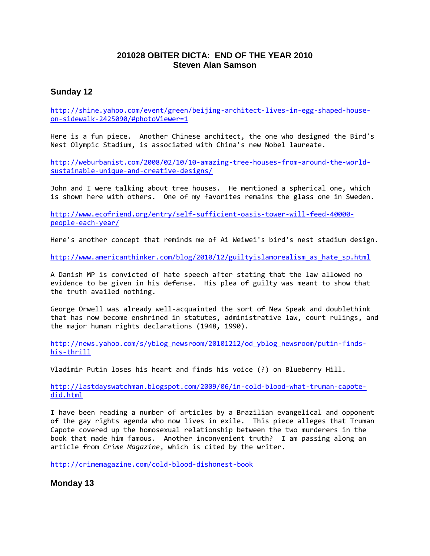## **201028 OBITER DICTA: END OF THE YEAR 2010 Steven Alan Samson**

## **Sunday 12**

[http://shine.yahoo.com/event/green/beijing-architect-lives-in-egg-shaped-house](http://shine.yahoo.com/event/green/beijing-architect-lives-in-egg-shaped-house-on-sidewalk-2425090/#photoViewer=1)[on-sidewalk-2425090/#photoViewer=1](http://shine.yahoo.com/event/green/beijing-architect-lives-in-egg-shaped-house-on-sidewalk-2425090/#photoViewer=1)

Here is a fun piece. Another Chinese architect, the one who designed the Bird's Nest Olympic Stadium, is associated with China's new Nobel laureate.

[http://weburbanist.com/2008/02/10/10-amazing-tree-houses-from-around-the-world](http://weburbanist.com/2008/02/10/10-amazing-tree-houses-from-around-the-world-sustainable-unique-and-creative-designs/)[sustainable-unique-and-creative-designs/](http://weburbanist.com/2008/02/10/10-amazing-tree-houses-from-around-the-world-sustainable-unique-and-creative-designs/)

John and I were talking about tree houses. He mentioned a spherical one, which is shown here with others. One of my favorites remains the glass one in Sweden.

[http://www.ecofriend.org/entry/self-sufficient-oasis-tower-will-feed-40000](http://www.ecofriend.org/entry/self-sufficient-oasis-tower-will-feed-40000-people-each-year/) [people-each-year/](http://www.ecofriend.org/entry/self-sufficient-oasis-tower-will-feed-40000-people-each-year/)

Here's another concept that reminds me of Ai Weiwei's bird's nest stadium design.

[http://www.americanthinker.com/blog/2010/12/guiltyislamorealism\\_as\\_hate\\_sp.html](http://www.americanthinker.com/blog/2010/12/guiltyislamorealism_as_hate_sp.html)

A Danish MP is convicted of hate speech after stating that the law allowed no evidence to be given in his defense. His plea of guilty was meant to show that the truth availed nothing.

George Orwell was already well-acquainted the sort of New Speak and doublethink that has now become enshrined in statutes, administrative law, court rulings, and the major human rights declarations (1948, 1990).

[http://news.yahoo.com/s/yblog\\_newsroom/20101212/od\\_yblog\\_newsroom/putin-finds](http://news.yahoo.com/s/yblog_newsroom/20101212/od_yblog_newsroom/putin-finds-his-thrill)[his-thrill](http://news.yahoo.com/s/yblog_newsroom/20101212/od_yblog_newsroom/putin-finds-his-thrill)

Vladimir Putin loses his heart and finds his voice (?) on Blueberry Hill.

[http://lastdayswatchman.blogspot.com/2009/06/in-cold-blood-what-truman-capote](http://lastdayswatchman.blogspot.com/2009/06/in-cold-blood-what-truman-capote-did.html)[did.html](http://lastdayswatchman.blogspot.com/2009/06/in-cold-blood-what-truman-capote-did.html)

I have been reading a number of articles by a Brazilian evangelical and opponent of the gay rights agenda who now lives in exile. This piece alleges that Truman Capote covered up the homosexual relationship between the two murderers in the book that made him famous. Another inconvenient truth? I am passing along an article from *Crime Magazine*, which is cited by the writer.

<http://crimemagazine.com/cold-blood-dishonest-book>

**Monday 13**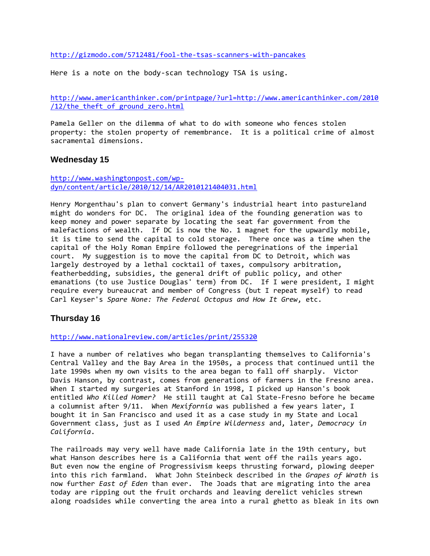<http://gizmodo.com/5712481/fool-the-tsas-scanners-with-pancakes>

Here is a note on the body-scan technology TSA is using.

[http://www.americanthinker.com/printpage/?url=http://www.americanthinker.com/2010](http://www.americanthinker.com/printpage/?url=http://www.americanthinker.com/2010/12/the_theft_of_ground_zero.html) /12/the theft of ground zero.html

Pamela Geller on the dilemma of what to do with someone who fences stolen property: the stolen property of remembrance. It is a political crime of almost sacramental dimensions.

#### **Wednesday 15**

[http://www.washingtonpost.com/wp](http://www.washingtonpost.com/wp-dyn/content/article/2010/12/14/AR2010121404031.html)[dyn/content/article/2010/12/14/AR2010121404031.html](http://www.washingtonpost.com/wp-dyn/content/article/2010/12/14/AR2010121404031.html)

Henry Morgenthau's plan to convert Germany's industrial heart into pastureland might do wonders for DC. The original idea of the founding generation was to keep money and power separate by locating the seat far government from the malefactions of wealth. If DC is now the No. 1 magnet for the upwardly mobile, it is time to send the capital to cold storage. There once was a time when the capital of the Holy Roman Empire followed the peregrinations of the imperial court. My suggestion is to move the capital from DC to Detroit, which was largely destroyed by a lethal cocktail of taxes, compulsory arbitration, featherbedding, subsidies, the general drift of public policy, and other emanations (to use Justice Douglas' term) from DC. If I were president, I might require every bureaucrat and member of Congress (but I repeat myself) to read Carl Keyser's *Spare None: The Federal Octopus and How It Grew*, etc.

#### **Thursday 16**

<http://www.nationalreview.com/articles/print/255320>

I have a number of relatives who began transplanting themselves to California's Central Valley and the Bay Area in the 1950s, a process that continued until the late 1990s when my own visits to the area began to fall off sharply. Victor Davis Hanson, by contrast, comes from generations of farmers in the Fresno area. When I started my surgeries at Stanford in 1998, I picked up Hanson's book entitled *Who Killed Homer?* He still taught at Cal State-Fresno before he became a columnist after 9/11. When *Mexifornia* was published a few years later, I bought it in San Francisco and used it as a case study in my State and Local Government class, just as I used *An Empire Wilderness* and, later, *Democracy in California*.

The railroads may very well have made California late in the 19th century, but what Hanson describes here is a California that went off the rails years ago. But even now the engine of Progressivism keeps thrusting forward, plowing deeper into this rich farmland. What John Steinbeck described in the *Grapes of Wrath* is now further *East of Eden* than ever. The Joads that are migrating into the area today are ripping out the fruit orchards and leaving derelict vehicles strewn along roadsides while converting the area into a rural ghetto as bleak in its own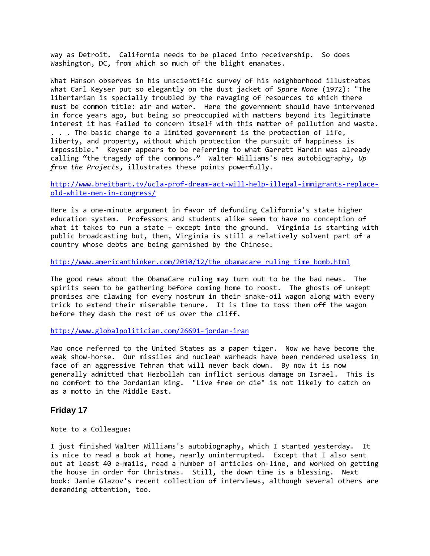way as Detroit. California needs to be placed into receivership. So does Washington, DC, from which so much of the blight emanates.

What Hanson observes in his unscientific survey of his neighborhood illustrates what Carl Keyser put so elegantly on the dust jacket of *Spare None* (1972): "The libertarian is specially troubled by the ravaging of resources to which there must be common title: air and water. Here the government should have intervened in force years ago, but being so preoccupied with matters beyond its legitimate interest it has failed to concern itself with this matter of pollution and waste. . . . The basic charge to a limited government is the protection of life, liberty, and property, without which protection the pursuit of happiness is impossible." Keyser appears to be referring to what Garrett Hardin was already calling "the tragedy of the commons." Walter Williams's new autobiography, *Up from the Projects*, illustrates these points powerfully.

[http://www.breitbart.tv/ucla-prof-dream-act-will-help-illegal-immigrants-replace](http://www.breitbart.tv/ucla-prof-dream-act-will-help-illegal-immigrants-replace-old-white-men-in-congress/)[old-white-men-in-congress/](http://www.breitbart.tv/ucla-prof-dream-act-will-help-illegal-immigrants-replace-old-white-men-in-congress/)

Here is a one-minute argument in favor of defunding California's state higher education system. Professors and students alike seem to have no conception of what it takes to run a state – except into the ground. Virginia is starting with public broadcasting but, then, Virginia is still a relatively solvent part of a country whose debts are being garnished by the Chinese.

[http://www.americanthinker.com/2010/12/the\\_obamacare\\_ruling\\_time\\_bomb.html](http://www.americanthinker.com/2010/12/the_obamacare_ruling_time_bomb.html)

The good news about the ObamaCare ruling may turn out to be the bad news. The spirits seem to be gathering before coming home to roost. The ghosts of unkept promises are clawing for every nostrum in their snake-oil wagon along with every trick to extend their miserable tenure. It is time to toss them off the wagon before they dash the rest of us over the cliff.

<http://www.globalpolitician.com/26691-jordan-iran>

Mao once referred to the United States as a paper tiger. Now we have become the weak show-horse. Our missiles and nuclear warheads have been rendered useless in face of an aggressive Tehran that will never back down. By now it is now generally admitted that Hezbollah can inflict serious damage on Israel. This is no comfort to the Jordanian king. "Live free or die" is not likely to catch on as a motto in the Middle East.

#### **Friday 17**

Note to a Colleague:

I just finished Walter Williams's autobiography, which I started yesterday. It is nice to read a book at home, nearly uninterrupted. Except that I also sent out at least 40 e-mails, read a number of articles on-line, and worked on getting the house in order for Christmas. Still, the down time is a blessing. Next book: Jamie Glazov's recent collection of interviews, although several others are demanding attention, too.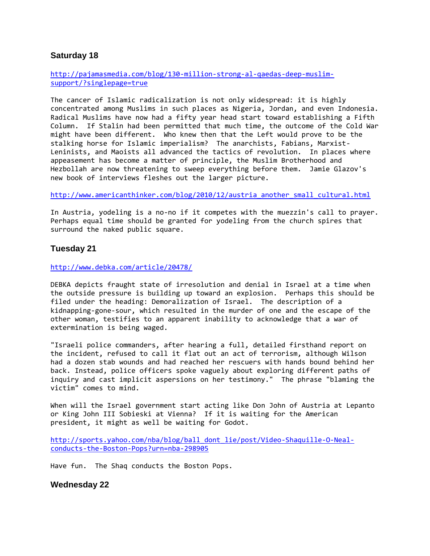## **Saturday 18**

[http://pajamasmedia.com/blog/130-million-strong-al-qaedas-deep-muslim](http://pajamasmedia.com/blog/130-million-strong-al-qaedas-deep-muslim-support/?singlepage=true)[support/?singlepage=true](http://pajamasmedia.com/blog/130-million-strong-al-qaedas-deep-muslim-support/?singlepage=true)

The cancer of Islamic radicalization is not only widespread: it is highly concentrated among Muslims in such places as Nigeria, Jordan, and even Indonesia. Radical Muslims have now had a fifty year head start toward establishing a Fifth Column. If Stalin had been permitted that much time, the outcome of the Cold War might have been different. Who knew then that the Left would prove to be the stalking horse for Islamic imperialism? The anarchists, Fabians, Marxist-Leninists, and Maoists all advanced the tactics of revolution. In places where appeasement has become a matter of principle, the Muslim Brotherhood and Hezbollah are now threatening to sweep everything before them. Jamie Glazov's new book of interviews fleshes out the larger picture.

[http://www.americanthinker.com/blog/2010/12/austria\\_another\\_small\\_cultural.html](http://www.americanthinker.com/blog/2010/12/austria_another_small_cultural.html)

In Austria, yodeling is a no-no if it competes with the muezzin's call to prayer. Perhaps equal time should be granted for yodeling from the church spires that surround the naked public square.

## **Tuesday 21**

<http://www.debka.com/article/20478/>

DEBKA depicts fraught state of irresolution and denial in Israel at a time when the outside pressure is building up toward an explosion. Perhaps this should be filed under the heading: Demoralization of Israel. The description of a kidnapping-gone-sour, which resulted in the murder of one and the escape of the other woman, testifies to an apparent inability to acknowledge that a war of extermination is being waged.

"Israeli police commanders, after hearing a full, detailed firsthand report on the incident, refused to call it flat out an act of terrorism, although Wilson had a dozen stab wounds and had reached her rescuers with hands bound behind her back. Instead, police officers spoke vaguely about exploring different paths of inquiry and cast implicit aspersions on her testimony." The phrase "blaming the victim" comes to mind.

When will the Israel government start acting like Don John of Austria at Lepanto or King John III Sobieski at Vienna? If it is waiting for the American president, it might as well be waiting for Godot.

[http://sports.yahoo.com/nba/blog/ball\\_dont\\_lie/post/Video-Shaquille-O-Neal](http://sports.yahoo.com/nba/blog/ball_dont_lie/post/Video-Shaquille-O-Neal-conducts-the-Boston-Pops?urn=nba-298905)[conducts-the-Boston-Pops?urn=nba-298905](http://sports.yahoo.com/nba/blog/ball_dont_lie/post/Video-Shaquille-O-Neal-conducts-the-Boston-Pops?urn=nba-298905)

Have fun. The Shaq conducts the Boston Pops.

**Wednesday 22**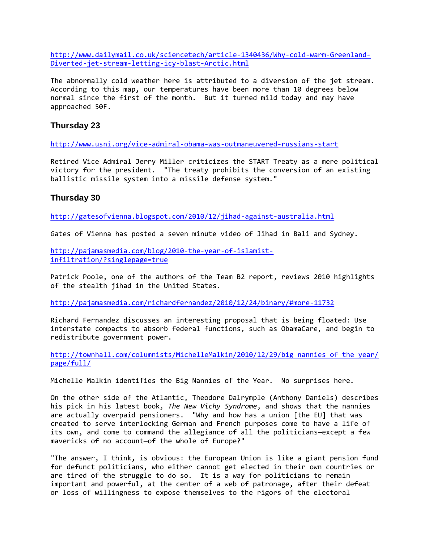[http://www.dailymail.co.uk/sciencetech/article-1340436/Why-cold-warm-Greenland-](http://www.dailymail.co.uk/sciencetech/article-1340436/Why-cold-warm-Greenland-Diverted-jet-stream-letting-icy-blast-Arctic.html)[Diverted-jet-stream-letting-icy-blast-Arctic.html](http://www.dailymail.co.uk/sciencetech/article-1340436/Why-cold-warm-Greenland-Diverted-jet-stream-letting-icy-blast-Arctic.html)

The abnormally cold weather here is attributed to a diversion of the jet stream. According to this map, our temperatures have been more than 10 degrees below normal since the first of the month. But it turned mild today and may have approached 50F.

## **Thursday 23**

<http://www.usni.org/vice-admiral-obama-was-outmaneuvered-russians-start>

Retired Vice Admiral Jerry Miller criticizes the START Treaty as a mere political victory for the president. "The treaty prohibits the conversion of an existing ballistic missile system into a missile defense system."

## **Thursday 30**

<http://gatesofvienna.blogspot.com/2010/12/jihad-against-australia.html>

Gates of Vienna has posted a seven minute video of Jihad in Bali and Sydney.

[http://pajamasmedia.com/blog/2010-the-year-of-islamist](http://pajamasmedia.com/blog/2010-the-year-of-islamist-infiltration/?singlepage=true)[infiltration/?singlepage=true](http://pajamasmedia.com/blog/2010-the-year-of-islamist-infiltration/?singlepage=true)

Patrick Poole, one of the authors of the Team B2 report, reviews 2010 highlights of the stealth jihad in the United States.

<http://pajamasmedia.com/richardfernandez/2010/12/24/binary/#more-11732>

Richard Fernandez discusses an interesting proposal that is being floated: Use interstate compacts to absorb federal functions, such as ObamaCare, and begin to redistribute government power.

[http://townhall.com/columnists/MichelleMalkin/2010/12/29/big\\_nannies\\_of\\_the\\_year/](http://townhall.com/columnists/MichelleMalkin/2010/12/29/big_nannies_of_the_year/page/full/) [page/full/](http://townhall.com/columnists/MichelleMalkin/2010/12/29/big_nannies_of_the_year/page/full/)

Michelle Malkin identifies the Big Nannies of the Year. No surprises here.

On the other side of the Atlantic, Theodore Dalrymple (Anthony Daniels) describes his pick in his latest book, *The New Vichy Syndrome*, and shows that the nannies are actually overpaid pensioners. "Why and how has a union [the EU] that was created to serve interlocking German and French purposes come to have a life of its own, and come to command the allegiance of all the politicians—except a few mavericks of no account—of the whole of Europe?"

"The answer, I think, is obvious: the European Union is like a giant pension fund for defunct politicians, who either cannot get elected in their own countries or are tired of the struggle to do so. It is a way for politicians to remain important and powerful, at the center of a web of patronage, after their defeat or loss of willingness to expose themselves to the rigors of the electoral